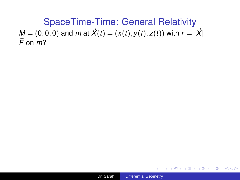<span id="page-0-0"></span>SpaceTime-Time: General Relativity *M* = (0, 0, 0) and *m* at  $\vec{X}(t) = (x(t), y(t), z(t))$  with  $r = |\vec{X}|$  $\vec{F}$  on  $m$ ?



重。

 $2Q$ 

K 何 ▶ K ヨ ▶ K ヨ ▶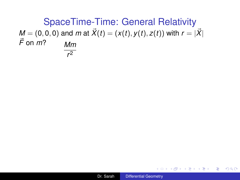SpaceTime-Time: General Relativity *M* = (0, 0, 0) and *m* at  $\vec{X}(t) = (x(t), y(t), z(t))$  with  $r = |\vec{X}|$  $\vec{F}$  on  $\vec{m}$ ? *Mm r* 2

 $\equiv$  .

 $2Q$ 

K 何 ▶ K ヨ ▶ K ヨ ▶ ...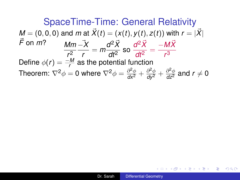SpaceTime-Time: General Relativity *M* = (0, 0, 0) and *m* at  $\vec{X}(t) = (x(t), y(t), z(t))$  with  $r = |\vec{X}|$  $\vec{F}$  on  $m$ ? *r* 2 −~*X*  $\frac{d^2\vec{X}}{dr^2} = m\frac{d^2\vec{X}}{dt^2}$  $\frac{d^2 \vec{X}}{dt^2}$  so  $\frac{d^2 \vec{X}}{dt^2}$  $\frac{d^2\vec{X}}{dt^2} = \frac{-M\vec{X}}{r^3}$ *r* 3 Define  $\phi(r) = \frac{-M}{r}$  as the potential function Theorem:  $\nabla^2 \phi = 0$  where  $\nabla^2 \phi = \frac{\partial^2 \phi}{\partial x^2} + \frac{\partial^2 \phi}{\partial y^2} + \frac{\partial^2 \phi}{\partial z^2}$  and  $r \neq 0$ 

(御) マミメマミメーヨー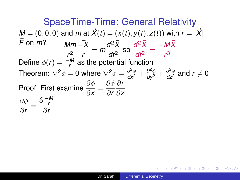SpaceTime-Time: General Relativity *M* = (0, 0, 0) and *m* at  $\vec{X}(t) = (x(t), y(t), z(t))$  with  $r = |\vec{X}|$  $\vec{F}$  on  $m$ ? *r* 2 −~*X*  $\frac{d^2\vec{X}}{dr^2} = m\frac{d^2\vec{X}}{dt^2}$  $\frac{d^2 \vec{X}}{dt^2}$  so  $\frac{d^2 \vec{X}}{dt^2}$  $\frac{d^2\vec{X}}{dt^2} = \frac{-M\vec{X}}{r^3}$ *r* 3 Define  $\phi(r) = \frac{-M}{r}$  as the potential function Theorem:  $\nabla^2 \phi = 0$  where  $\nabla^2 \phi = \frac{\partial^2 \phi}{\partial x^2} + \frac{\partial^2 \phi}{\partial y^2} + \frac{\partial^2 \phi}{\partial z^2}$  and  $r \neq 0$ Proof: First examine  $\frac{\partial \phi}{\partial x} = \frac{\partial \phi}{\partial r}$ ∂*r* ∂*r* ∂*x*  $\partial \phi$  $\frac{\partial \varphi}{\partial r}$  =  $\partial \frac{-M}{r}$ *r* ∂*r*

(御) マミメ マミメーヨー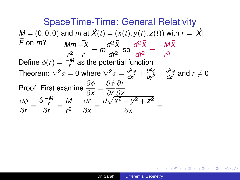SpaceTime-Time: General Relativity *M* = (0, 0, 0) and *m* at  $\vec{X}(t) = (x(t), y(t), z(t))$  with  $r = |\vec{X}|$  $\vec{F}$  on  $m$ ? *r* 2 −~*X*  $\frac{d^2\vec{X}}{dr^2} = m\frac{d^2\vec{X}}{dt^2}$  $\frac{d^2 \vec{X}}{dt^2}$  so  $\frac{d^2 \vec{X}}{dt^2}$  $\frac{d^2\vec{X}}{dt^2} = \frac{-M\vec{X}}{r^3}$ *r* 3 Define  $\phi(r) = \frac{-M}{r}$  as the potential function Theorem:  $\nabla^2 \phi = 0$  where  $\nabla^2 \phi = \frac{\partial^2 \phi}{\partial x^2} + \frac{\partial^2 \phi}{\partial y^2} + \frac{\partial^2 \phi}{\partial z^2}$  and  $r \neq 0$ Proof: First examine  $\frac{\partial \phi}{\partial x} = \frac{\partial \phi}{\partial r_{\phi}}$ ∂*r* ∂*r* ∂*x*  $\partial \phi$  $\frac{\partial \varphi}{\partial r}$  =  $\partial \frac{-M}{r}$ *r*  $rac{\frac{r}{r}}{\frac{\partial r}{r}} = \frac{M}{r^2}$ *r* 2 ∂*r*  $\frac{\partial r}{\partial x} = \frac{\partial \sqrt{x^2 + y^2 + z^2}}{\partial x}$  $\frac{\partial}{\partial x}$  =

(御) マミメマミメーヨー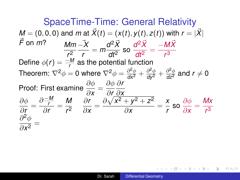SpaceTime-Time: General Relativity *M* = (0, 0, 0) and *m* at  $\vec{X}(t) = (x(t), y(t), z(t))$  with  $r = |\vec{X}|$  $\vec{F}$  on  $m$ ? *r* 2 −~*X*  $\frac{d^2\vec{X}}{dr^2} = m\frac{d^2\vec{X}}{dt^2}$  $\frac{d^2 \vec{X}}{dt^2}$  so  $\frac{d^2 \vec{X}}{dt^2}$  $\frac{d^2\vec{X}}{dt^2} = \frac{-M\vec{X}}{r^3}$ *r* 3 Define  $\phi(r) = \frac{-M}{r}$  as the potential function Theorem:  $\nabla^2 \phi = 0$  where  $\nabla^2 \phi = \frac{\partial^2 \phi}{\partial x^2} + \frac{\partial^2 \phi}{\partial y^2} + \frac{\partial^2 \phi}{\partial z^2}$  and  $r \neq 0$ Proof: First examine  $\frac{\partial \phi}{\partial x} = \frac{\partial \phi}{\partial x} \frac{\partial r}{\partial y}$ ∂*x* ∂*r* ∂*x*  $\partial \phi$  $\frac{\partial \varphi}{\partial r}$  =  $\partial \frac{-M}{r}$ *r*  $rac{\frac{r}{r}}{\frac{\partial r}{r}} = \frac{M}{r^2}$ *r* 2 ∂*r*  $\frac{\partial r}{\partial x} = \frac{\partial \sqrt{x^2 + y^2 + z^2}}{\partial x}$  $\frac{y^2 + z^2}{\partial x} = \frac{x}{r}$  $\frac{x}{r}$  so  $\frac{\partial \phi}{\partial x}$  $\frac{\partial \phi}{\partial x} = \frac{Mx}{r^3}$ *r* 3  $\partial^2\phi$  $\frac{\partial \phi}{\partial x^2} =$ 

(御) マミメマミメーヨー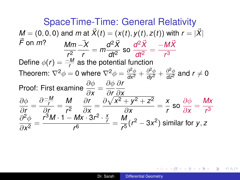SpaceTime-Time: General Relativity  $M = (0, 0, 0)$  and *m* at  $\vec{X}(t) = (x(t), y(t), z(t))$  with  $r = |\vec{X}|$  $\vec{F}$  on  $m$ ? *r* 2 −~*X*  $\frac{d^2\vec{X}}{dr^2} = m\frac{d^2\vec{X}}{dt^2}$  $\frac{d^2 \vec{X}}{dt^2}$  so  $\frac{d^2 \vec{X}}{dt^2}$  $\frac{d^2\vec{X}}{dt^2} = \frac{-M\vec{X}}{r^3}$ *r* 3 Define  $\phi(r) = \frac{-M}{r}$  as the potential function Theorem:  $\nabla^2 \phi = 0$  where  $\nabla^2 \phi = \frac{\partial^2 \phi}{\partial x^2} + \frac{\partial^2 \phi}{\partial y^2} + \frac{\partial^2 \phi}{\partial z^2}$  and  $r \neq 0$ Proof: First examine  $\frac{\partial \phi}{\partial x} = \frac{\partial \phi}{\partial r_{\phi}}$ ∂*r* ∂*r* ∂*x*  $\partial \phi$  $\frac{\partial \varphi}{\partial r}$  =  $\partial \frac{-M}{r}$ *r*  $rac{\frac{r}{r}}{\frac{\partial r}{r}} = \frac{M}{r^2}$ *r* 2 ∂*r*  $\frac{\partial r}{\partial x} = \frac{\partial \sqrt{x^2 + y^2 + z^2}}{\partial x}$  $\frac{y^2 + z^2}{\partial x} = \frac{x}{r}$  $\frac{x}{r}$  so  $\frac{\partial \phi}{\partial x}$  $\frac{\partial \phi}{\partial x} = \frac{Mx}{r^3}$ *r* 3  $\partial^2\phi$  $rac{\partial^2 \phi}{\partial x^2} = \frac{r^3 M \cdot 1 - Mx \cdot 3r^2 \cdot \frac{x}{r}}{r^6}$ *r*  $\frac{Mx \cdot 3r^2 \cdot \frac{x}{r}}{r^6} = \frac{M}{r^5}$  $\frac{W}{r^5}(r^2-3x^2)$  similar for *y*, *z* 

(御) マヨ メマヨ ミーヨー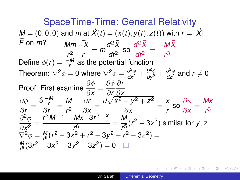<span id="page-7-0"></span>SpaceTime-Time: General Relativity *M* = (0, 0, 0) and *m* at  $\vec{X}(t) = (x(t), y(t), z(t))$  with  $r = |\vec{X}|$  $\vec{F}$  on  $m$ ? *r* 2 −~*X*  $\frac{d^2\vec{X}}{dr^2} = m\frac{d^2\vec{X}}{dt^2}$  $\frac{d^2 \vec{X}}{dt^2}$  so  $\frac{d^2 \vec{X}}{dt^2}$  $\frac{d^2\vec{X}}{dt^2} = \frac{-M\vec{X}}{r^3}$ *r* 3 Define  $\phi(r) = \frac{-M}{r}$  as the potential function Theorem:  $\nabla^2 \phi = 0$  where  $\nabla^2 \phi = \frac{\partial^2 \phi}{\partial x^2} + \frac{\partial^2 \phi}{\partial y^2} + \frac{\partial^2 \phi}{\partial z^2}$  and  $r \neq 0$ Proof: First examine  $\frac{\partial \phi}{\partial x} = \frac{\partial \phi}{\partial x} \frac{\partial r}{\partial y}$ ∂*x* ∂*r* ∂*x*  $\partial \phi$  $\frac{\partial \varphi}{\partial r}$  =  $\partial \frac{-M}{r}$ *r*  $rac{\frac{r}{r}}{\frac{\partial r}{r}} = \frac{M}{r^2}$ *r* 2 ∂*r*  $\frac{\partial r}{\partial x} = \frac{\partial \sqrt{x^2 + y^2 + z^2}}{\partial x}$  $\frac{y^2 + z^2}{\partial x} = \frac{x}{r}$  $\frac{x}{r}$  so  $\frac{\partial \phi}{\partial x}$  $\frac{\partial \phi}{\partial x} = \frac{Mx}{r^3}$ *r* 3  $\partial^2\phi$  $\frac{\partial^2 \phi}{\partial x^2} = \frac{r^3 M \cdot 1 - Mx \cdot 3r^2 \cdot \frac{x}{r}}{r^6}$ *r*  $\frac{Mx \cdot 3r^2 \cdot \frac{x}{r}}{r^6} = \frac{M}{r^5}$  $\frac{1}{2}$   $\frac{1}{2}$   $\frac{1}{2}$   $\frac{1}{2}$   $\frac{1}{2}$  similar for *y*, *z*  $\nabla^2 \phi = \frac{M}{r^5} (r^2 - 3x^2 + r^2 - 3y^2 + r^2 - 3z^2) =$  $\frac{6}{M}$ (3r<sup>2</sup> *r* <sup>5</sup> (3*r* <sup>2</sup> − 3*x* <sup>2</sup> − 3*y* <sup>2</sup> − 3*z* 2 ) = 0

(御) (目) (目) (目)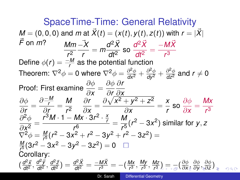<span id="page-8-0"></span>SpaceTime-Time: General Relativity  $M = (0, 0, 0)$  and *m* at  $\vec{X}(t) = (x(t), y(t), z(t))$  with  $r = |\vec{X}|$  $\vec{F}$  on  $m$ ? *r* 2 −~*X*  $\frac{d^2\vec{X}}{dr^2} = m\frac{d^2\vec{X}}{dt^2}$  $\frac{d^2 \vec{X}}{dt^2}$  so  $\frac{d^2 \vec{X}}{dt^2}$  $\frac{d^2\vec{X}}{dt^2} = \frac{-M\vec{X}}{r^3}$ *r* 3 Define  $\phi(r) = \frac{-M}{r}$  as the potential function Theorem:  $\nabla^2 \phi = 0$  where  $\nabla^2 \phi = \frac{\partial^2 \phi}{\partial x^2} + \frac{\partial^2 \phi}{\partial y^2} + \frac{\partial^2 \phi}{\partial z^2}$  and  $r \neq 0$ Proof: First examine  $\frac{\partial \phi}{\partial x} = \frac{\partial \phi}{\partial x} \frac{\partial r}{\partial y}$ ∂*x* ∂*r* ∂*x*  $\partial \phi$  $\frac{\partial \varphi}{\partial r}$  =  $\partial \frac{-M}{r}$ *r*  $rac{\frac{r}{r}}{\frac{\partial r}{r}} = \frac{M}{r^2}$ *r* 2 ∂*r*  $\frac{\partial r}{\partial x} = \frac{\partial \sqrt{x^2 + y^2 + z^2}}{\partial x}$  $\frac{y^2 + z^2}{\partial x} = \frac{x}{r}$  $\frac{x}{r}$  so  $\frac{\partial \phi}{\partial x}$  $\frac{\partial \phi}{\partial x} = \frac{Mx}{r^3}$ *r* 3  $\partial^2\phi$  $\frac{\partial^2 \phi}{\partial x^2} = \frac{r^3 M \cdot 1 - Mx \cdot 3r^2 \cdot \frac{x}{r}}{r^6}$ *r*  $\frac{Mx \cdot 3r^2 \cdot \frac{x}{r}}{r^6} = \frac{M}{r^5}$  $\frac{1}{2}$   $\frac{1}{2}$   $\frac{1}{2}$   $\frac{1}{2}$   $\frac{1}{2}$  similar for *y*, *z*  $\nabla^2 \phi = \frac{M}{r^5}$  $\frac{M}{r^5}(r^2-3x^2+r^2-3y^2+r^2-3z^2)=$ *M r* <sup>5</sup> (3*r* <sup>2</sup> − 3*x* <sup>2</sup> − 3*y* <sup>2</sup> − 3*z* 2 ) = 0 Corollary:  $\left(\frac{d^2\bar{x}}{dt^2}\right)$  $\frac{d^2\vec{x}}{dt^2}, \frac{d^2\vec{y}}{dt^2}$  $\frac{d^2\vec{y}}{dt^2}, \frac{d^2\vec{z}}{dt^2}$  $\frac{d^2\vec{z}}{dt^2}$ ) =  $\frac{d^2\vec{X}}{dt^2}$  =  $\frac{-M\vec{X}}{r^3}$  $\frac{MX}{r^3} = -(\frac{Mx}{r^3})$ *r* 3 , *My r*<sub>3</sub>, <u>*Mz*</u><br>*r*<sup>3</sup>, *r*<sup>3</sup>  $\frac{Mz}{r^3}$  $\frac{Mz}{r^3}$  $\frac{Mz}{r^3}$  ) [=](#page-9-0)  $\frac{1}{r^3}$  [\(](#page-9-0) $\frac{\partial \phi}{\partial x}$ <u>[∂](#page-0-0)φ</u><br>∂[x](#page-0-0) → ∂y <u>[∂](#page-14-0)φ</u> ,<u>∂φ</u><br>∂[y](#page-0-0) [,](#page-0-0)<mark>−∂z</mark> [∂](#page-14-0)*[z](#page-14-0)* [\)](#page-0-0)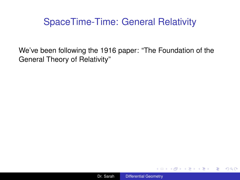#### <span id="page-9-0"></span>SpaceTime-Time: General Relativity

We've been following the 1916 paper: "The Foundation of the General Theory of Relativity"

 $\langle \oplus \rangle$  >  $\langle \oplus \rangle$  >  $\langle \oplus \rangle$ 

4 0 8

 $\equiv$   $\Omega$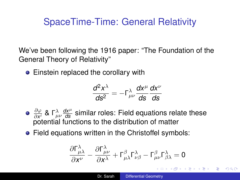## <span id="page-10-0"></span>SpaceTime-Time: General Relativity

We've been following the 1916 paper: "The Foundation of the General Theory of Relativity"

• Einstein replaced the corollary with

$$
\frac{d^2x^{\lambda}}{ds^2}=-\Gamma^{\lambda}_{\mu\nu}\frac{dx^{\mu}}{ds}\frac{dx^{\nu}}{ds}
$$

- $\partial \varphi$  $\frac{\partial \varphi}{\partial x^i}$  & Γ $\frac{\partial x^{\mu}}{\partial s}$  similar roles: Field equations relate these potential functions to the distribution of matter
- Field equations written in the Christoffel symbols:

$$
\frac{\partial \Gamma_{\mu\lambda}^{\lambda}}{\partial x^{\nu}} - \frac{\partial \Gamma_{\mu\nu}^{\lambda}}{\partial x^{\lambda}} + \Gamma_{\mu\lambda}^{\beta} \Gamma_{\nu\beta}^{\lambda} - \Gamma_{\mu\nu}^{\beta} \Gamma_{\beta\lambda}^{\lambda} = 0
$$
\n1. Sarah

\nDifferential Geometry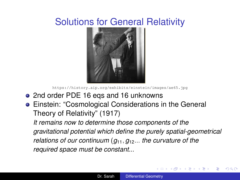## <span id="page-11-0"></span>Solutions for General Relativity



<https://history.aip.org/exhibits/einstein/images/ae65.jpg>

- 2nd order PDE 16 eqs and 16 unknowns
- Einstein: "Cosmological Considerations in the General Theory of Relativity" (1917)

*It remains now to determine those components of the gravitational potential which define the purely spatial-geometrical relations of our continuum* (*g*11, *g*12... *the curvature of the required space must be constant...*

4 ロ ) (何 ) (日 ) (日 )

 $2Q$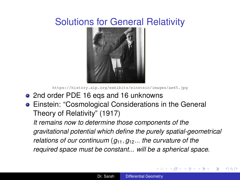## <span id="page-12-0"></span>Solutions for General Relativity



<https://history.aip.org/exhibits/einstein/images/ae65.jpg>

- 2nd order PDE 16 eqs and 16 unknowns
- Einstein: "Cosmological Considerations in the General Theory of Relativity" (1917)

*It remains now to determine those components of the gravitational potential which define the purely spatial-geometrical relations of our continuum* (*g*11, *g*12... *the curvature of the required space must be constant... will be a spherical space.*

イロメ イ押 メイヨメ イヨメ

 $2Q$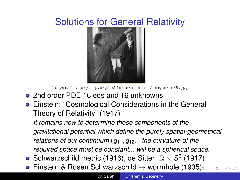# <span id="page-13-0"></span>Solutions for General Relativity



<https://history.aip.org/exhibits/einstein/images/ae65.jpg>

- 2nd order PDE 16 eqs and 16 unknowns
- Einstein: "Cosmological Considerations in the General Theory of Relativity" (1917)

*It remains now to determine those components of the gravitational potential which define the purely spatial-geometrical relations of our continuum* (*g*11, *g*12... *the curvature of the required space must be constant... will be a spherical space.*

- Schwarzschild metric (1916), de Sitter:  $\mathbb{R} \times S^3$  (1917)
- $\bullet$  $\bullet$  $\bullet$  $\bullet$  $\bullet$  Einstein & R[o](#page-10-0)sen Schwarzschild  $\rightarrow$  w[or](#page-12-0)[mh](#page-14-0)ole [\(](#page-14-0)[19](#page-0-0)[3](#page-14-0)[5\)](#page-0-0).  $\Omega$